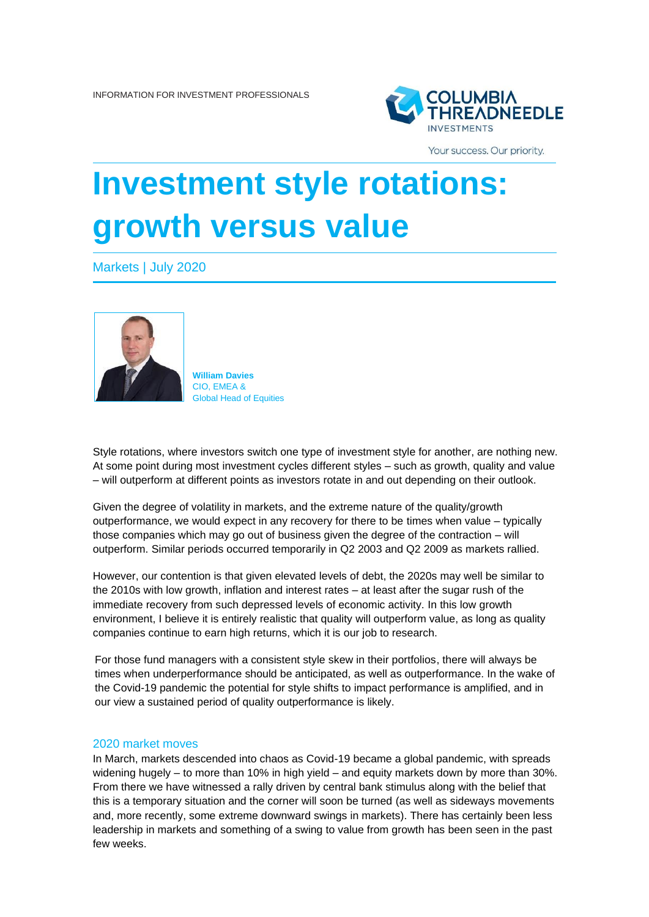

Your success. Our priority.

## **Investment style rotations: growth versus value**

Markets | July 2020



**William Davies** CIO, EMEA & Global Head of Equities

Style rotations, where investors switch one type of investment style for another, are nothing new. At some point during most investment cycles different styles – such as growth, quality and value – will outperform at different points as investors rotate in and out depending on their outlook.

Given the degree of volatility in markets, and the extreme nature of the quality/growth outperformance, we would expect in any recovery for there to be times when value – typically those companies which may go out of business given the degree of the contraction – will outperform. Similar periods occurred temporarily in Q2 2003 and Q2 2009 as markets rallied.

However, our contention is that given elevated levels of debt, the 2020s may well be similar to the 2010s with low growth, inflation and interest rates – at least after the sugar rush of the immediate recovery from such depressed levels of economic activity. In this low growth environment, I believe it is entirely realistic that quality will outperform value, as long as quality companies continue to earn high returns, which it is our job to research.

For those fund managers with a consistent style skew in their portfolios, there will always be times when underperformance should be anticipated, as well as outperformance. In the wake of the Covid-19 pandemic the potential for style shifts to impact performance is amplified, and in our view a sustained period of quality outperformance is likely.

## 2020 market moves

In March, markets descended into chaos as Covid-19 became a global pandemic, with spreads widening hugely – to more than 10% in high yield – and equity markets down by more than 30%. From there we have witnessed a rally driven by central bank stimulus along with the belief that this is a temporary situation and the corner will soon be turned (as well as sideways movements and, more recently, some extreme downward swings in markets). There has certainly been less leadership in markets and something of a swing to value from growth has been seen in the past few weeks.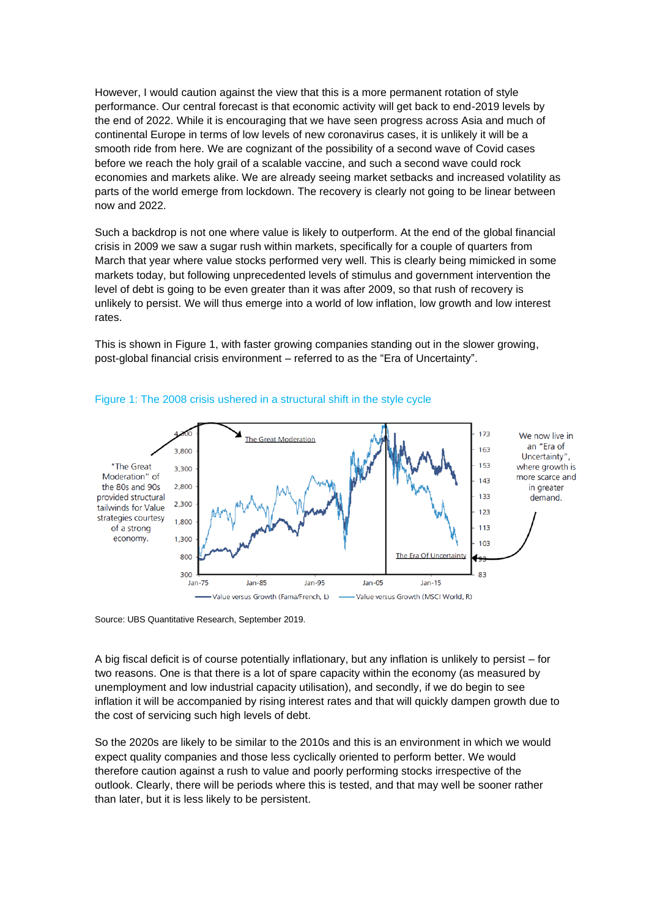However, I would caution against the view that this is a more permanent rotation of style performance. Our central forecast is that economic activity will get back to end-2019 levels by the end of 2022. While it is encouraging that we have seen progress across Asia and much of continental Europe in terms of low levels of new coronavirus cases, it is unlikely it will be a smooth ride from here. We are cognizant of the possibility of a second wave of Covid cases before we reach the holy grail of a scalable vaccine, and such a second wave could rock economies and markets alike. We are already seeing market setbacks and increased volatility as parts of the world emerge from lockdown. The recovery is clearly not going to be linear between now and 2022.

Such a backdrop is not one where value is likely to outperform. At the end of the global financial crisis in 2009 we saw a sugar rush within markets, specifically for a couple of quarters from March that year where value stocks performed very well. This is clearly being mimicked in some markets today, but following unprecedented levels of stimulus and government intervention the level of debt is going to be even greater than it was after 2009, so that rush of recovery is unlikely to persist. We will thus emerge into a world of low inflation, low growth and low interest rates.

This is shown in Figure 1, with faster growing companies standing out in the slower growing, post-global financial crisis environment – referred to as the "Era of Uncertainty".



## Figure 1: The 2008 crisis ushered in a structural shift in the style cycle

Source: UBS Quantitative Research, September 2019.

A big fiscal deficit is of course potentially inflationary, but any inflation is unlikely to persist – for two reasons. One is that there is a lot of spare capacity within the economy (as measured by unemployment and low industrial capacity utilisation), and secondly, if we do begin to see inflation it will be accompanied by rising interest rates and that will quickly dampen growth due to the cost of servicing such high levels of debt.

So the 2020s are likely to be similar to the 2010s and this is an environment in which we would expect quality companies and those less cyclically oriented to perform better. We would therefore caution against a rush to value and poorly performing stocks irrespective of the outlook. Clearly, there will be periods where this is tested, and that may well be sooner rather than later, but it is less likely to be persistent.